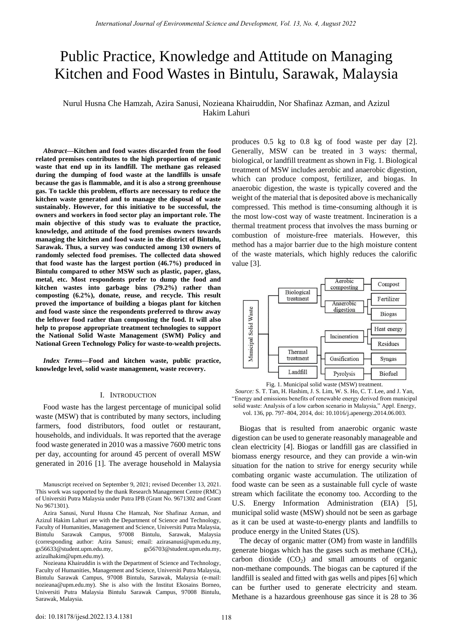# Public Practice, Knowledge and Attitude on Managing Kitchen and Food Wastes in Bintulu, Sarawak, Malaysia

Nurul Husna Che Hamzah, Azira Sanusi, Nozieana Khairuddin, Nor Shafinaz Azman, and Azizul Hakim Lahuri

*Abstract***—Kitchen and food wastes discarded from the food related premises contributes to the high proportion of organic waste that end up in its landfill. The methane gas released during the dumping of food waste at the landfills is unsafe because the gas is flammable, and it is also a strong greenhouse gas. To tackle this problem, efforts are necessary to reduce the kitchen waste generated and to manage the disposal of waste sustainably. However, for this initiative to be successful, the owners and workers in food sector play an important role. The main objective of this study was to evaluate the practice, knowledge, and attitude of the food premises owners towards managing the kitchen and food waste in the district of Bintulu, Sarawak. Thus, a survey was conducted among 130 owners of randomly selected food premises. The collected data showed that food waste has the largest portion (46.7%) produced in Bintulu compared to other MSW such as plastic, paper, glass, metal, etc. Most respondents prefer to dump the food and kitchen wastes into garbage bins (79.2%) rather than composting (6.2%), donate, reuse, and recycle. This result proved the importance of building a biogas plant for kitchen and food waste since the respondents preferred to throw away the leftover food rather than composting the food. It will also help to propose appropriate treatment technologies to support the National Solid Waste Management (SWM) Policy and National Green Technology Policy for waste-to-wealth projects.** 

*Index Terms***—Food and kitchen waste, public practice, knowledge level, solid waste management, waste recovery.** 

#### I. INTRODUCTION

Food waste has the largest percentage of municipal solid waste (MSW) that is contributed by many sectors, including farmers, food distributors, food outlet or restaurant, households, and individuals. It was reported that the average food waste generated in 2010 was a massive 7600 metric tons per day, accounting for around 45 percent of overall MSW generated in 2016 [1]. The average household in Malaysia

Manuscript received on September 9, 2021; revised December 13, 2021. This work was supported by the thank Research Management Centre (RMC) of Universiti Putra Malaysia under Putra IPB (Grant No. 9671302 and Grant No 9671301).

Azira Sanusi, Nurul Husna Che Hamzah, Nor Shafinaz Azman, and Azizul Hakim Lahuri are with the Department of Science and Technology, Faculty of Humanities, Management and Science, Universiti Putra Malaysia, Bintulu Sarawak Campus, 97008 Bintulu, Sarawak, Malaysia (corresponding author: Azira Sanusi; email: azirasanusi@upm.edu.my, gs56633@student.upm.edu.my, gs56703@student.upm.edu.my, azizulhakim@upm.edu.my).

Nozieana Khairuddin is with the Department of Science and Technology, Faculty of Humanities, Management and Science, Universiti Putra Malaysia, Bintulu Sarawak Campus, 97008 Bintulu, Sarawak, Malaysia (e-mail: nozieana@upm.edu.my). She is also with the Institut Ekosains Borneo, Universiti Putra Malaysia Bintulu Sarawak Campus, 97008 Bintulu, Sarawak, Malaysia.

produces 0.5 kg to 0.8 kg of food waste per day [2]. Generally, MSW can be treated in 3 ways: thermal, biological, or landfill treatment as shown in Fig. 1. Biological treatment of MSW includes aerobic and anaerobic digestion, which can produce compost, fertilizer, and biogas. In anaerobic digestion, the waste is typically covered and the weight of the material that is deposited above is mechanically compressed. This method is time-consuming although it is the most low-cost way of waste treatment. Incineration is a thermal treatment process that involves the mass burning or combustion of moisture-free materials. However, this method has a major barrier due to the high moisture content of the waste materials, which highly reduces the calorific value [3].



Fig. 1. Municipal solid waste (MSW) treatment.

*Source:* S. T. Tan, H. Hashim, J. S. Lim, W. S. Ho, C. T. Lee, and J. Yan, ―Energy and emissions benefits of renewable energy derived from municipal solid waste: Analysis of a low carbon scenario in Malaysia," Appl. Energy, vol. 136, pp. 797–804, 2014, doi: 10.1016/j.apenergy.2014.06.003.

Biogas that is resulted from anaerobic organic waste digestion can be used to generate reasonably manageable and clean electricity [4]. Biogas or landfill gas are classified in biomass energy resource, and they can provide a win-win situation for the nation to strive for energy security while combating organic waste accumulation. The utilization of food waste can be seen as a sustainable full cycle of waste stream which facilitate the economy too. According to the U.S. Energy Information Administration (EIA) [5], municipal solid waste (MSW) should not be seen as garbage as it can be used at waste-to-energy plants and landfills to produce energy in the United States (US).

The decay of organic matter (OM) from waste in landfills generate biogas which has the gases such as methane  $(CH_4)$ , carbon dioxide  $(CO<sub>2</sub>)$  and small amounts of organic non-methane compounds. The biogas can be captured if the landfill is sealed and fitted with gas wells and pipes [6] which can be further used to generate electricity and steam. Methane is a hazardous greenhouse gas since it is 28 to 36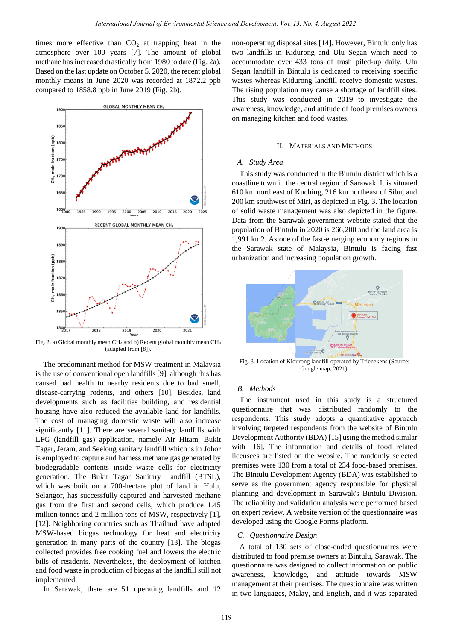times more effective than  $CO<sub>2</sub>$  at trapping heat in the atmosphere over 100 years [7]. The amount of global methane has increased drastically from 1980 to date (Fig. 2a). Based on the last update on October 5, 2020, the recent global monthly means in June 2020 was recorded at 1872.2 ppb compared to 1858.8 ppb in June 2019 (Fig. 2b).



Fig. 2. a) Global monthly mean CH<sub>4</sub> and b) Recent global monthly mean CH<sub>4</sub> (adapted from [8]).

The predominant method for MSW treatment in Malaysia is the use of conventional open landfills [9], although this has caused bad health to nearby residents due to bad smell, disease-carrying rodents, and others [10]. Besides, land developments such as facilities building, and residential housing have also reduced the available land for landfills. The cost of managing domestic waste will also increase significantly [11]. There are several sanitary landfills with LFG (landfill gas) application, namely Air Hitam, Bukit Tagar, Jeram, and Seelong sanitary landfill which is in Johor is employed to capture and harness methane gas generated by biodegradable contents inside waste cells for electricity generation. The Bukit Tagar Sanitary Landfill (BTSL), which was built on a 700-hectare plot of land in Hulu, Selangor, has successfully captured and harvested methane gas from the first and second cells, which produce 1.45 million tonnes and 2 million tons of MSW, respectively [1], [12]. Neighboring countries such as Thailand have adapted MSW-based biogas technology for heat and electricity generation in many parts of the country [13]. The biogas collected provides free cooking fuel and lowers the electric bills of residents. Nevertheless, the deployment of kitchen and food waste in production of biogas at the landfill still not implemented.

In Sarawak, there are 51 operating landfills and 12

non-operating disposal sites [14]. However, Bintulu only has two landfills in Kidurong and Ulu Segan which need to accommodate over 433 tons of trash piled-up daily. Ulu Segan landfill in Bintulu is dedicated to receiving specific wastes whereas Kidurong landfill receive domestic wastes. The rising population may cause a shortage of landfill sites. This study was conducted in 2019 to investigate the awareness, knowledge, and attitude of food premises owners on managing kitchen and food wastes.

# II. MATERIALS AND METHODS

## *A. Study Area*

This study was conducted in the Bintulu district which is a coastline town in the central region of Sarawak. It is situated 610 km northeast of Kuching, 216 km northeast of Sibu, and 200 km southwest of Miri, as depicted in Fig. 3. The location of solid waste management was also depicted in the figure. Data from the Sarawak government website stated that the population of Bintulu in 2020 is 266,200 and the land area is 1,991 km2. As one of the fast-emerging economy regions in the Sarawak state of Malaysia, Bintulu is facing fast urbanization and increasing population growth.



Fig. 3. Location of Kidurong landfill operated by Trienekens (Source: Google map, 2021).

# *B. Methods*

The instrument used in this study is a structured questionnaire that was distributed randomly to the respondents. This study adopts a quantitative approach involving targeted respondents from the website of Bintulu Development Authority (BDA) [15] using the method similar with [16]. The information and details of food related licensees are listed on the website. The randomly selected premises were 130 from a total of 234 food-based premises. The Bintulu Development Agency (BDA) was established to serve as the government agency responsible for physical planning and development in Sarawak's Bintulu Division. The reliability and validation analysis were performed based on expert review. A website version of the questionnaire was developed using the Google Forms platform.

## *C. Questionnaire Design*

A total of 130 sets of close-ended questionnaires were distributed to food premise owners at Bintulu, Sarawak. The questionnaire was designed to collect information on public awareness, knowledge, and attitude towards MSW management at their premises. The questionnaire was written in two languages, Malay, and English, and it was separated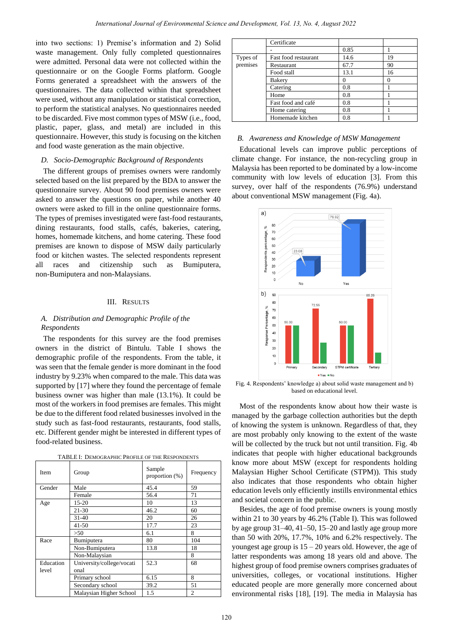into two sections: 1) Premise's information and 2) Solid waste management. Only fully completed questionnaires were admitted. Personal data were not collected within the questionnaire or on the Google Forms platform. Google Forms generated a spreadsheet with the answers of the questionnaires. The data collected within that spreadsheet were used, without any manipulation or statistical correction, to perform the statistical analyses. No questionnaires needed to be discarded. Five most common types of MSW (i.e., food, plastic, paper, glass, and metal) are included in this questionnaire. However, this study is focusing on the kitchen and food waste generation as the main objective.

## *D. Socio-Demographic Background of Respondents*

The different groups of premises owners were randomly selected based on the list prepared by the BDA to answer the questionnaire survey. About 90 food premises owners were asked to answer the questions on paper, while another 40 owners were asked to fill in the online questionnaire forms. The types of premises investigated were fast-food restaurants, dining restaurants, food stalls, cafés, bakeries, catering, homes, homemade kitchens, and home catering. These food premises are known to dispose of MSW daily particularly food or kitchen wastes. The selected respondents represent all races and citizenship such as Bumiputera, non-Bumiputera and non-Malaysians.

#### III. RESULTS

## *A. Distribution and Demographic Profile of the Respondents*

The respondents for this survey are the food premises owners in the district of Bintulu. Table I shows the demographic profile of the respondents. From the table, it was seen that the female gender is more dominant in the food industry by 9.23% when compared to the male. This data was supported by [17] where they found the percentage of female business owner was higher than male (13.1%). It could be most of the workers in food premises are females. This might be due to the different food related businesses involved in the study such as fast-food restaurants, restaurants, food stalls, etc. Different gender might be interested in different types of food-related business.

|  |  | TABLE I: DEMOGRAPHIC PROFILE OF THE RESPONDENTS |
|--|--|-------------------------------------------------|
|--|--|-------------------------------------------------|

| Item      | Group                     | Sample<br>proportion $(\%)$ | Frequency |
|-----------|---------------------------|-----------------------------|-----------|
| Gender    | Male                      | 45.4                        | 59        |
|           | Female                    | 56.4                        | 71        |
| Age       | $15 - 20$                 | 10                          | 13        |
|           | $21 - 30$                 | 46.2                        | 60        |
|           | $31 - 40$                 | 20                          | 26        |
|           | $41 - 50$                 | 17.7                        | 23        |
|           | >50                       | 6.1                         | 8         |
| Race      | Bumiputera                | 80                          | 104       |
|           | Non-Bumiputera            | 13.8                        | 18        |
|           | Non-Malaysian             |                             | 8         |
| Education | University/college/vocati | 52.3                        | 68        |
| level     | onal                      |                             |           |
|           | Primary school            | 6.15                        | 8         |
|           | Secondary school          | 39.2                        | 51        |
|           | Malaysian Higher School   | 1.5                         | 2         |

|                      | Certificate          |      |    |
|----------------------|----------------------|------|----|
|                      |                      | 0.85 |    |
| Types of<br>premises | Fast food restaurant | 14.6 | 19 |
|                      | Restaurant           | 67.7 | 90 |
|                      | Food stall           | 13.1 | 16 |
|                      | <b>Bakery</b>        |      | 0  |
|                      | Catering             | 0.8  |    |
|                      | Home                 | 0.8  |    |
|                      | Fast food and caf é  | 0.8  |    |
|                      | Home catering        | 0.8  |    |
|                      | Homemade kitchen     | 0.8  |    |

# *B. Awareness and Knowledge of MSW Management*

Educational levels can improve public perceptions of climate change. For instance, the non-recycling group in Malaysia has been reported to be dominated by a low-income community with low levels of education [3]. From this survey, over half of the respondents (76.9%) understand about conventional MSW management (Fig. 4a).



Fig. 4. Respondents' knowledge a) about solid waste management and b) based on educational level.

Most of the respondents know about how their waste is managed by the garbage collection authorities but the depth of knowing the system is unknown. Regardless of that, they are most probably only knowing to the extent of the waste will be collected by the truck but not until transition. Fig. 4b indicates that people with higher educational backgrounds know more about MSW (except for respondents holding Malaysian Higher School Certificate (STPM)). This study also indicates that those respondents who obtain higher education levels only efficiently instills environmental ethics and societal concern in the public.

Besides, the age of food premise owners is young mostly within 21 to 30 years by 46.2% (Table I). This was followed by age group 31–40, 41–50, 15–20 and lastly age group more than 50 with 20%, 17.7%, 10% and 6.2% respectively. The youngest age group is  $15 - 20$  years old. However, the age of latter respondents was among 18 years old and above. The highest group of food premise owners comprises graduates of universities, colleges, or vocational institutions. Higher educated people are more generally more concerned about environmental risks [18], [19]. The media in Malaysia has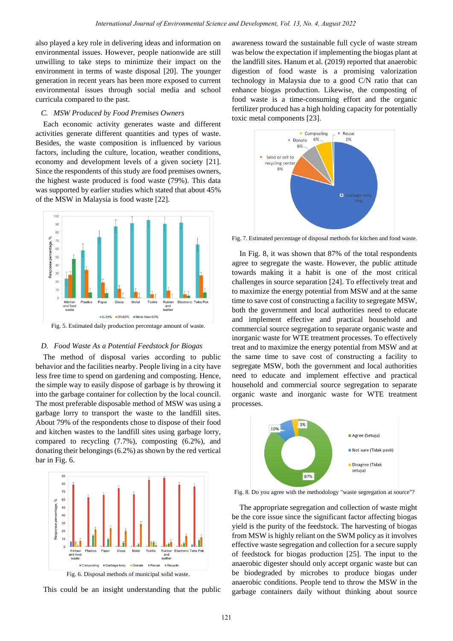also played a key role in delivering ideas and information on environmental issues. However, people nationwide are still unwilling to take steps to minimize their impact on the environment in terms of waste disposal [20]. The younger generation in recent years has been more exposed to current environmental issues through social media and school curricula compared to the past.

# *C. MSW Produced by Food Premises Owners*

Each economic activity generates waste and different activities generate different quantities and types of waste. Besides, the waste composition is influenced by various factors, including the culture, location, weather conditions, economy and development levels of a given society [21]. Since the respondents of this study are food premises owners, the highest waste produced is food waste (79%). This data was supported by earlier studies which stated that about 45% of the MSW in Malaysia is food waste [22].



Fig. 5. Estimated daily production percentage amount of waste.

## *D. Food Waste As a Potential Feedstock for Biogas*

The method of disposal varies according to public behavior and the facilities nearby. People living in a city have less free time to spend on gardening and composting. Hence, the simple way to easily dispose of garbage is by throwing it into the garbage container for collection by the local council. The most preferable disposable method of MSW was using a garbage lorry to transport the waste to the landfill sites. About 79% of the respondents chose to dispose of their food and kitchen wastes to the landfill sites using garbage lorry, compared to recycling (7.7%), composting (6.2%), and donating their belongings (6.2%) as shown by the red vertical bar in Fig. 6.



This could be an insight understanding that the public

awareness toward the sustainable full cycle of waste stream was below the expectation if implementing the biogas plant at the landfill sites. Hanum et al. (2019) reported that anaerobic digestion of food waste is a promising valorization technology in Malaysia due to a good C/N ratio that can enhance biogas production. Likewise, the composting of food waste is a time-consuming effort and the organic fertilizer produced has a high holding capacity for potentially toxic metal components [23].



Fig. 7. Estimated percentage of disposal methods for kitchen and food waste.

In Fig. 8, it was shown that 87% of the total respondents agree to segregate the waste. However, the public attitude towards making it a habit is one of the most critical challenges in source separation [24]. To effectively treat and to maximize the energy potential from MSW and at the same time to save cost of constructing a facility to segregate MSW, both the government and local authorities need to educate and implement effective and practical household and commercial source segregation to separate organic waste and inorganic waste for WTE treatment processes. To effectively treat and to maximize the energy potential from MSW and at the same time to save cost of constructing a facility to segregate MSW, both the government and local authorities need to educate and implement effective and practical household and commercial source segregation to separate organic waste and inorganic waste for WTE treatment processes.



Fig. 8. Do you agree with the methodology "waste segregation at source"?

The appropriate segregation and collection of waste might be the core issue since the significant factor affecting biogas yield is the purity of the feedstock. The harvesting of biogas from MSW is highly reliant on the SWM policy as it involves effective waste segregation and collection for a secure supply of feedstock for biogas production [25]. The input to the anaerobic digester should only accept organic waste but can be biodegraded by microbes to produce biogas under anaerobic conditions. People tend to throw the MSW in the garbage containers daily without thinking about source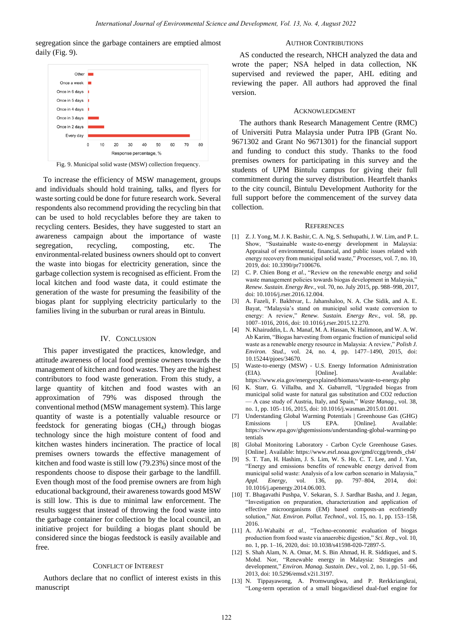segregation since the garbage containers are emptied almost daily (Fig. 9).

## AUTHOR CONTRIBUTIONS



Fig. 9. Municipal solid waste (MSW) collection frequency.

To increase the efficiency of MSW management, groups and individuals should hold training, talks, and flyers for waste sorting could be done for future research work. Several respondents also recommend providing the recycling bin that can be used to hold recyclables before they are taken to recycling centers. Besides, they have suggested to start an awareness campaign about the importance of waste segregation, recycling, composting, etc. The environmental-related business owners should opt to convert the waste into biogas for electricity generation, since the garbage collection system is recognised as efficient. From the local kitchen and food waste data, it could estimate the generation of the waste for presuming the feasibility of the biogas plant for supplying electricity particularly to the families living in the suburban or rural areas in Bintulu.

#### IV. CONCLUSION

This paper investigated the practices, knowledge, and attitude awareness of local food premise owners towards the management of kitchen and food wastes. They are the highest contributors to food waste generation. From this study, a large quantity of kitchen and food wastes with an approximation of 79% was disposed through the conventional method (MSW management system). This large quantity of waste is a potentially valuable resource or feedstock for generating biogas (CH4) through biogas technology since the high moisture content of food and kitchen wastes hinders incineration. The practice of local premises owners towards the effective management of kitchen and food waste is still low (79.23%) since most of the respondents choose to dispose their garbage to the landfill. Even though most of the food premise owners are from high educational background, their awareness towards good MSW is still low. This is due to minimal law enforcement. The results suggest that instead of throwing the food waste into the garbage container for collection by the local council, an initiative project for building a biogas plant should be considered since the biogas feedstock is easily available and free.

## CONFLICT OF INTEREST

Authors declare that no conflict of interest exists in this manuscript

AS conducted the research, NHCH analyzed the data and wrote the paper; NSA helped in data collection, NK supervised and reviewed the paper, AHL editing and reviewing the paper. All authors had approved the final version.

#### ACKNOWLEDGMENT

The authors thank Research Management Centre (RMC) of Universiti Putra Malaysia under Putra IPB (Grant No. 9671302 and Grant No 9671301) for the financial support and funding to conduct this study. Thanks to the food premises owners for participating in this survey and the students of UPM Bintulu campus for giving their full commitment during the survey distribution. Heartfelt thanks to the city council, Bintulu Development Authority for the full support before the commencement of the survey data collection.

#### **REFERENCES**

- [1] Z. J. Yong, M. J. K. Bashir, C. A. Ng, S. Sethupathi, J. W. Lim, and P. L. Show, "Sustainable waste-to-energy development in Malaysia: Appraisal of environmental, financial, and public issues related with energy recovery from municipal solid waste," Processes, vol. 7, no. 10, 2019, doi: 10.3390/pr7100676.
- [2] C. P. Chien Bong et al., "Review on the renewable energy and solid waste management policies towards biogas development in Malaysia," *Renew. Sustain. Energy Rev.*, vol. 70, no. July 2015, pp. 988–998, 2017, doi: 10.1016/j.rser.2016.12.004.
- [3] A. Fazeli, F. Bakhtvar, L. Jahanshaloo, N. A. Che Sidik, and A. E. Bayat, "Malaysia's stand on municipal solid waste conversion to energy: A review," Renew. Sustain. Energy Rev., vol. 58, pp. 1007–1016, 2016, doi: 10.1016/j.rser.2015.12.270.
- [4] N. Khairuddin, L. A. Manaf, M. A. Hassan, N. Halimoon, and W. A. W. Ab Karim, "Biogas harvesting from organic fraction of municipal solid waste as a renewable energy resource in Malaysia: A review," Polish J. *Environ. Stud.*, vol. 24, no. 4, pp. 1477–1490, 2015, doi: 10.15244/pjoes/34670.
- [5] Waste-to-energy (MSW) U.S. Energy Information Administration (EIA). [Online]. Available: https://www.eia.gov/energyexplained/biomass/waste-to-energy.php
- [6] K. Starr, G. Villalba, and X. Gabarrell, "Upgraded biogas from municipal solid waste for natural gas substitution and CO2 reduction — A case study of Austria, Italy, and Spain,‖ *Waste Manag.*, vol. 38, no. 1, pp. 105–116, 2015, doi: 10.1016/j.wasman.2015.01.001.
- [7] Understanding Global Warming Potentials | Greenhouse Gas (GHG) Emissions | US EPA. [Online]. Available: https://www.epa.gov/ghgemissions/understanding-global-warming-po tentials
- [8] Global Monitoring Laboratory Carbon Cycle Greenhouse Gases. [Online]. Available: https://www.esrl.noaa.gov/gmd/ccgg/trends\_ch4/
- [9] S. T. Tan, H. Hashim, J. S. Lim, W. S. Ho, C. T. Lee, and J. Yan, ―Energy and emissions benefits of renewable energy derived from municipal solid waste: Analysis of a low carbon scenario in Malaysia," *Appl. Energy*, vol. 136, pp. 797–804, 2014, doi: 10.1016/j.apenergy.2014.06.003.
- [10] T. Bhagavathi Pushpa, V. Sekaran, S. J. Sardhar Basha, and J. Jegan, "Investigation on preparation, characterization and application of effective microorganisms (EM) based composts-an ecofriendly solution," Nat. Environ. Pollut. Technol., vol. 15, no. 1, pp. 153-158, 2016.
- [11] A. Al-Wahaibi *et al.*, "Techno-economic evaluation of biogas production from food waste via anaerobic digestion," *Sci. Rep.*, vol. 10, no. 1, pp. 1–16, 2020, doi: 10.1038/s41598-020-72897-5.
- [12] S. Shah Alam, N. A. Omar, M. S. Bin Ahmad, H. R. Siddiquei, and S. Mohd. Nor, "Renewable energy in Malaysia: Strategies and development," *Environ. Manag. Sustain. Dev.*, vol. 2, no. 1, pp. 51–66, 2013, doi: 10.5296/emsd.v2i1.3197.
- [13] N. Tippayawong, A. Promwungkwa, and P. Rerkkriangkrai, ―Long-term operation of a small biogas/diesel dual-fuel engine for